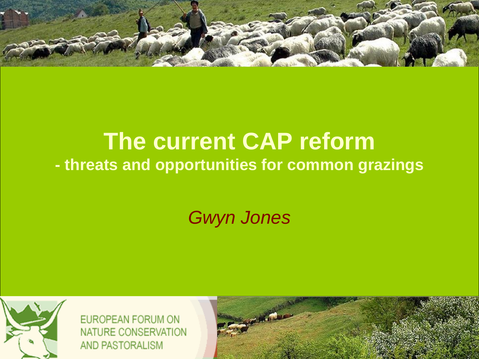

### **The current CAP reform - threats and opportunities for common grazings**

*Gwyn Jones*



EUROPEAN FORUM ON **NATURE CONSERVATION** AND PASTORALISM

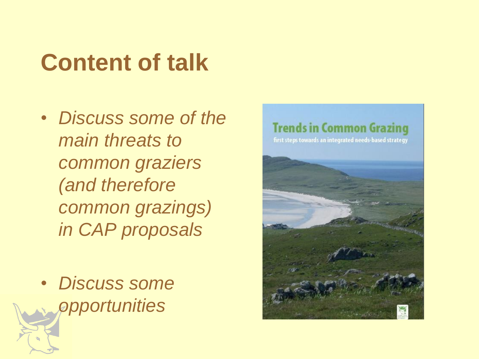### **Content of talk**

- *Discuss some of the main threats to common graziers (and therefore common grazings) in CAP proposals*
- *Discuss some opportunities*

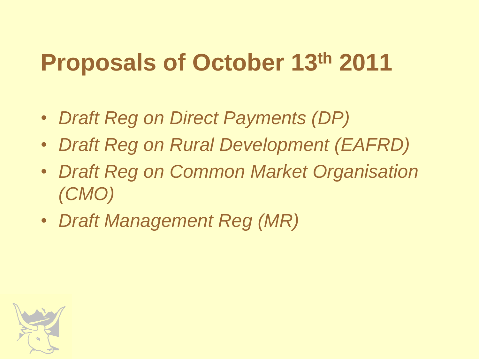### **Proposals of October 13th 2011**

- *Draft Reg on Direct Payments (DP)*
- *Draft Reg on Rural Development (EAFRD)*
- *Draft Reg on Common Market Organisation (CMO)*
- *Draft Management Reg (MR)*

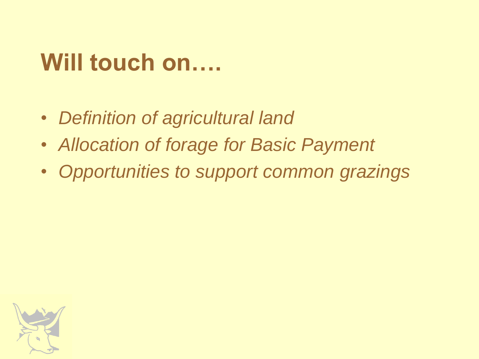### **Will touch on….**

- *Definition of agricultural land*
- *Allocation of forage for Basic Payment*
- *Opportunities to support common grazings*

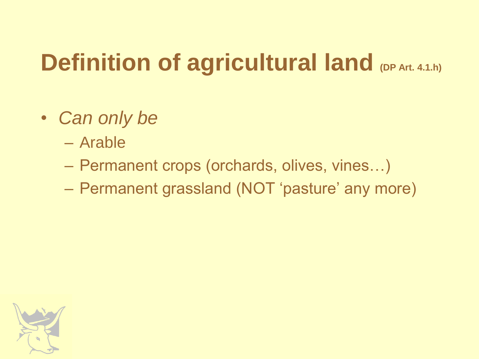### **Definition of agricultural land (DP Art. 4.1.h)**

- *Can only be*
	- Arable
	- Permanent crops (orchards, olives, vines…)
	- Permanent grassland (NOT 'pasture' any more)

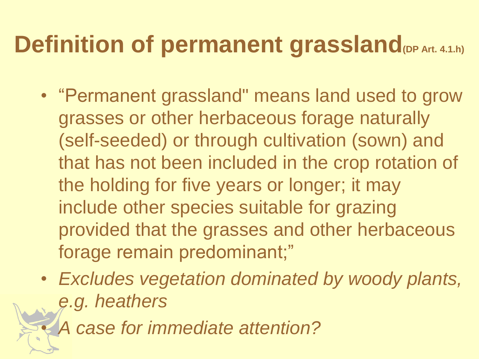### **Definition of permanent grassland**<sub>(DP Art. 4.1.h)</sub>

- "Permanent grassland" means land used to grow grasses or other herbaceous forage naturally (self-seeded) or through cultivation (sown) and that has not been included in the crop rotation of the holding for five years or longer; it may include other species suitable for grazing provided that the grasses and other herbaceous forage remain predominant;"
- *Excludes vegetation dominated by woody plants, e.g. heathers*

• *A case for immediate attention?*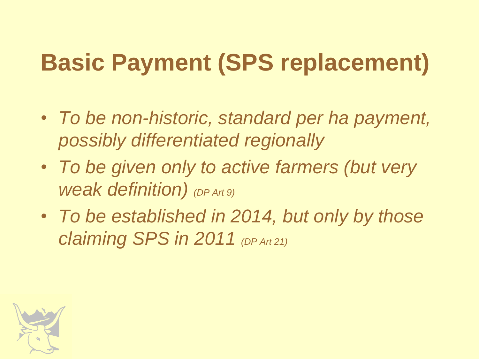# **Basic Payment (SPS replacement)**

- *To be non-historic, standard per ha payment, possibly differentiated regionally*
- *To be given only to active farmers (but very weak definition) (DP Art 9)*
- *To be established in 2014, but only by those claiming SPS in 2011 (DP Art 21)*

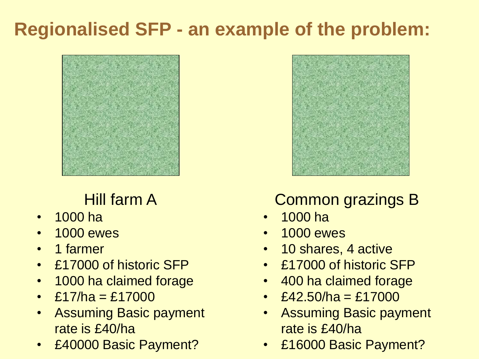### **Regionalised SFP - an example of the problem:**



#### Hill farm A

- 1000 ha
- 1000 ewes
- 1 farmer
- £17000 of historic SFP
- 1000 ha claimed forage
- £17/ha = £17000
- Assuming Basic payment rate is £40/ha
- £40000 Basic Payment?



#### Common grazings B

- 1000 ha
- 1000 ewes
- 10 shares, 4 active
- £17000 of historic SFP
- 400 ha claimed forage
- £42.50/ha = £17000
- Assuming Basic payment rate is £40/ha
- £16000 Basic Payment?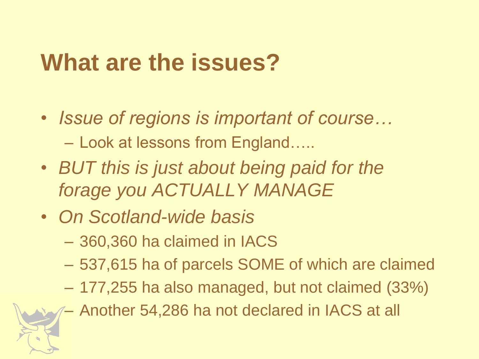### **What are the issues?**

- *Issue of regions is important of course…* – Look at lessons from England…..
- *BUT this is just about being paid for the forage you ACTUALLY MANAGE*
- *On Scotland-wide basis*
	- 360,360 ha claimed in IACS
	- 537,615 ha of parcels SOME of which are claimed
	- 177,255 ha also managed, but not claimed (33%)
	- Another 54,286 ha not declared in IACS at all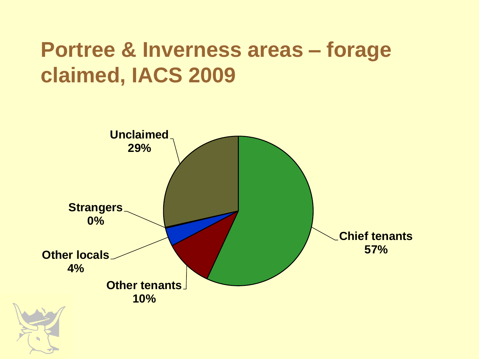### **Portree & Inverness areas – forage claimed, IACS 2009**

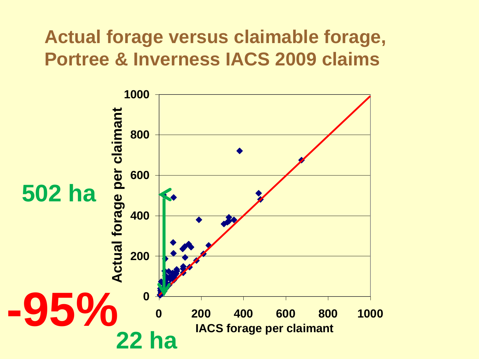#### **Actual forage versus claimable forage, Portree & Inverness IACS 2009 claims**

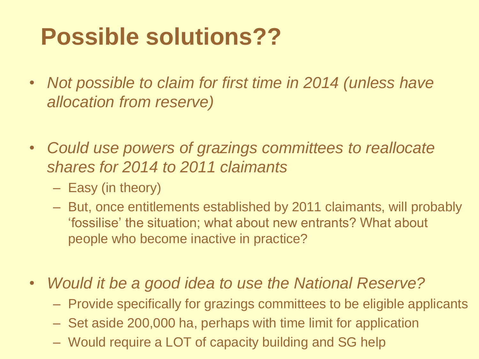### **Possible solutions??**

- *Not possible to claim for first time in 2014 (unless have allocation from reserve)*
- *Could use powers of grazings committees to reallocate shares for 2014 to 2011 claimants*
	- Easy (in theory)
	- But, once entitlements established by 2011 claimants, will probably "fossilise" the situation; what about new entrants? What about people who become inactive in practice?
- *Would it be a good idea to use the National Reserve?*
	- Provide specifically for grazings committees to be eligible applicants
	- Set aside 200,000 ha, perhaps with time limit for application
	- Would require a LOT of capacity building and SG help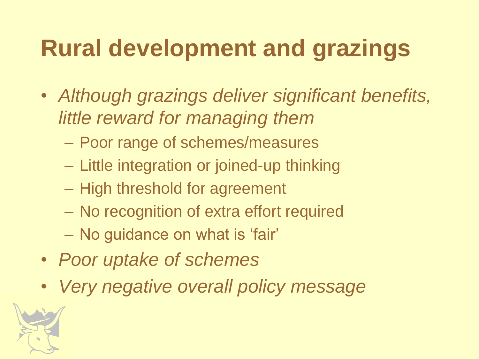## **Rural development and grazings**

- *Although grazings deliver significant benefits, little reward for managing them*
	- Poor range of schemes/measures
	- Little integration or joined-up thinking
	- High threshold for agreement
	- No recognition of extra effort required
	- No guidance on what is "fair"
- *Poor uptake of schemes*
- *Very negative overall policy message*

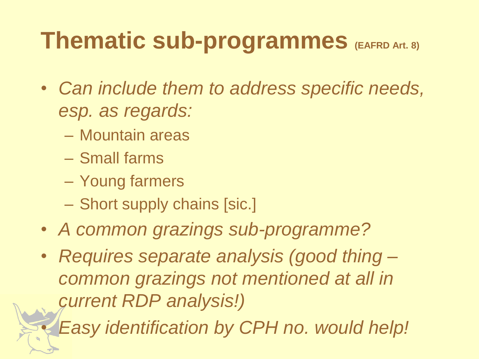### **Thematic sub-programmes** (EAFRD Art. 8)

- *Can include them to address specific needs, esp. as regards:*
	- Mountain areas
	- Small farms
	- Young farmers
	- Short supply chains [sic.]
- *A common grazings sub-programme?*
- *Requires separate analysis (good thing – common grazings not mentioned at all in current RDP analysis!)*

• *Easy identification by CPH no. would help!*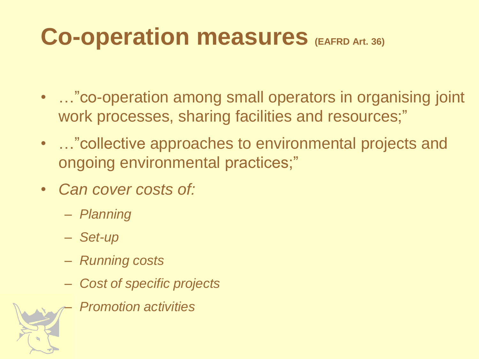### **Co-operation measures (EAFRD Art. 36)**

- …"co-operation among small operators in organising joint work processes, sharing facilities and resources;"
- …"collective approaches to environmental projects and ongoing environmental practices;"
- *Can cover costs of:*
	- *Planning*
	- *Set-up*
	- *Running costs*
	- *Cost of specific projects*
		- *Promotion activities*

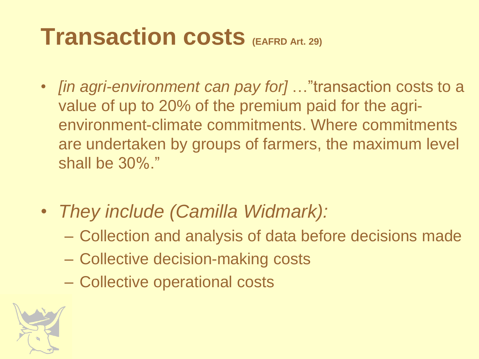### **Transaction costs (EAFRD Art. 29)**

- *[in agri-environment can pay for]* …"transaction costs to a value of up to 20% of the premium paid for the agrienvironment-climate commitments. Where commitments are undertaken by groups of farmers, the maximum level shall be 30%."
- *They include (Camilla Widmark):*
	- Collection and analysis of data before decisions made
	- Collective decision-making costs
	- Collective operational costs

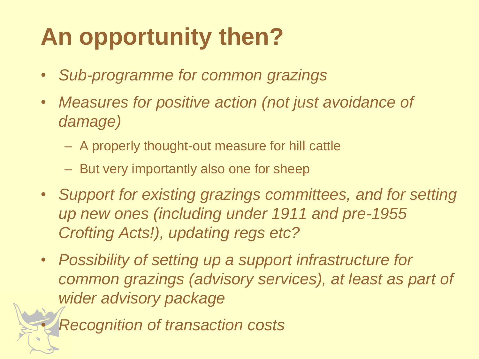# **An opportunity then?**

- *Sub-programme for common grazings*
- *Measures for positive action (not just avoidance of damage)*
	- A properly thought-out measure for hill cattle
	- But very importantly also one for sheep
- *Support for existing grazings committees, and for setting up new ones (including under 1911 and pre-1955 Crofting Acts!), updating regs etc?*
- *Possibility of setting up a support infrastructure for common grazings (advisory services), at least as part of wider advisory package*

• *Recognition of transaction costs*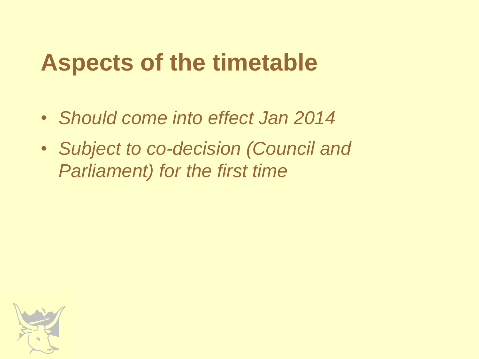### **Aspects of the timetable**

- *Should come into effect Jan 2014*
- *Subject to co-decision (Council and Parliament) for the first time*

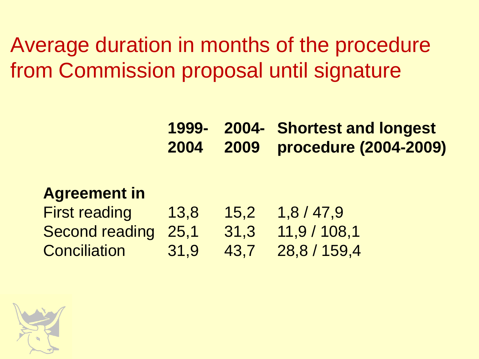Average duration in months of the procedure from Commission proposal until signature

> **1999- 2004 2004- Shortest and longest 2009 procedure (2004-2009)**

#### **Agreement in**

| <b>First reading</b> | 13,8 | 15,2 | 1,8/47,9     |
|----------------------|------|------|--------------|
| Second reading 25,1  |      | 31,3 | 11,9/108,1   |
| <b>Conciliation</b>  | 31,9 | 43,7 | 28,8 / 159,4 |

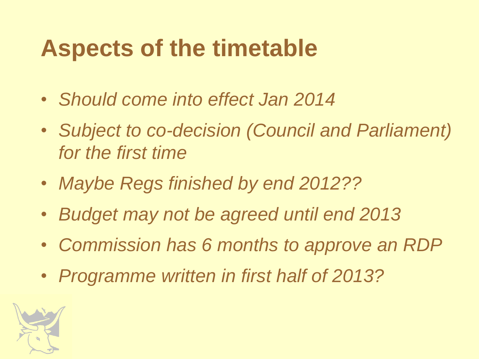### **Aspects of the timetable**

- *Should come into effect Jan 2014*
- *Subject to co-decision (Council and Parliament) for the first time*
- *Maybe Regs finished by end 2012??*
- *Budget may not be agreed until end 2013*
- *Commission has 6 months to approve an RDP*
- *Programme written in first half of 2013?*